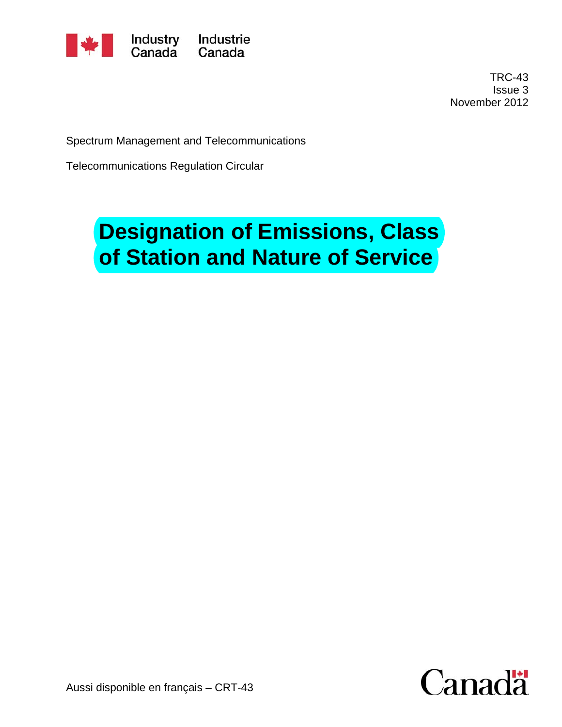

 TRC-43 Issue 3 November 2012

Spectrum Management and Telecommunications

Telecommunications Regulation Circular

# **Designation of Emissions, Class of Station and Nature of Service**

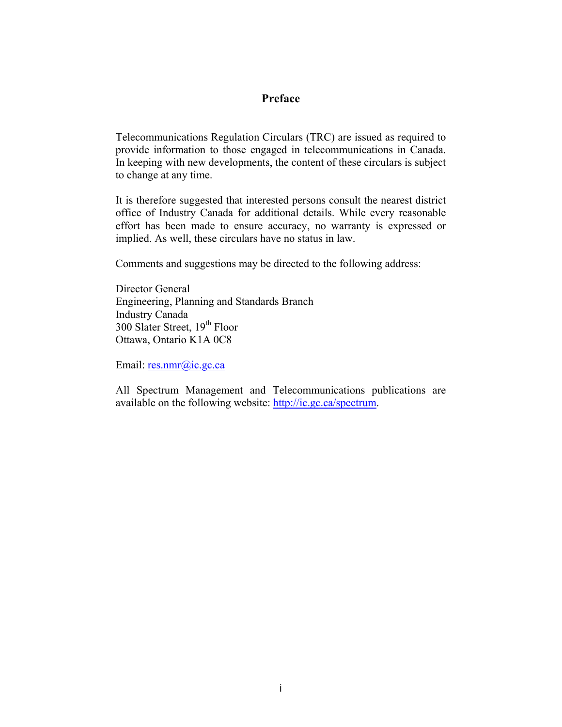#### **Preface**

Telecommunications Regulation Circulars (TRC) are issued as required to provide information to those engaged in telecommunications in Canada. In keeping with new developments, the content of these circulars is subject to change at any time.

It is therefore suggested that interested persons consult the nearest district office of Industry Canada for additional details. While every reasonable effort has been made to ensure accuracy, no warranty is expressed or implied. As well, these circulars have no status in law.

Comments and suggestions may be directed to the following address:

Director General Engineering, Planning and Standards Branch Industry Canada 300 Slater Street, 19<sup>th</sup> Floor Ottawa, Ontario K1A 0C8

Email: [res.nmr@ic.gc.ca](mailto:res.nmr@ic.gc.ca)

All Spectrum Management and Telecommunications publications are available on the following website: <http://ic.gc.ca/spectrum>.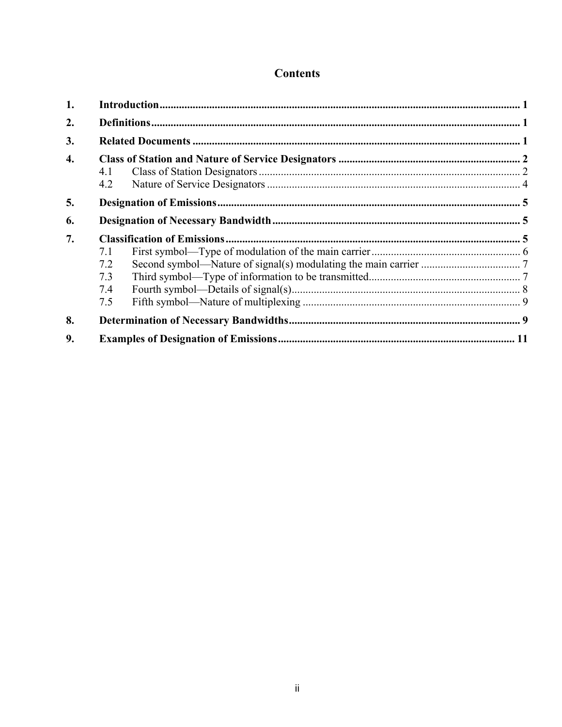#### **Contents**

| 1. |            |  |  |  |
|----|------------|--|--|--|
| 2. |            |  |  |  |
| 3. |            |  |  |  |
| 4. |            |  |  |  |
|    | 4.1<br>4.2 |  |  |  |
| 5. |            |  |  |  |
| 6. |            |  |  |  |
| 7. |            |  |  |  |
|    | 7.1        |  |  |  |
|    | 7.2        |  |  |  |
|    | 7.3        |  |  |  |
|    | 7.4        |  |  |  |
|    | 7.5        |  |  |  |
| 8. |            |  |  |  |
| 9. |            |  |  |  |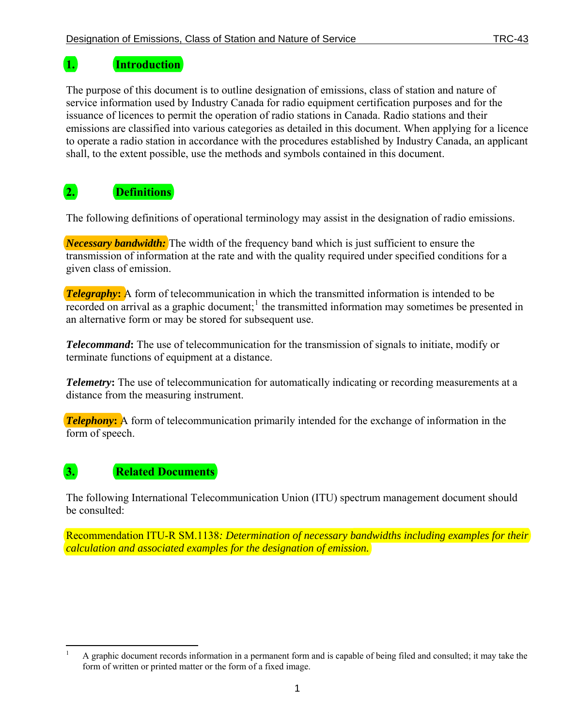### <span id="page-3-0"></span>**1. Introduction**

The purpose of this document is to outline designation of emissions, class of station and nature of service information used by Industry Canada for radio equipment certification purposes and for the issuance of licences to permit the operation of radio stations in Canada. Radio stations and their emissions are classified into various categories as detailed in this document. When applying for a licence to operate a radio station in accordance with the procedures established by Industry Canada, an applicant shall, to the extent possible, use the methods and symbols contained in this document.

## <span id="page-3-1"></span>**2. Definitions**

The following definitions of operational terminology may assist in the designation of radio emissions.

*Necessary bandwidth:* The width of the frequency band which is just sufficient to ensure the transmission of information at the rate and with the quality required under specified conditions for a given class of emission.

**Telegraphy:** A form of telecommunication in which the transmitted information is intended to be recorded on arrival as a graphic document;<sup>[1](#page-3-3)</sup> the transmitted information may sometimes be presented in an alternative form or may be stored for subsequent use.

*Telecommand***:** The use of telecommunication for the transmission of signals to initiate, modify or terminate functions of equipment at a distance.

*Telemetry*: The use of telecommunication for automatically indicating or recording measurements at a distance from the measuring instrument.

*Telephony*: A form of telecommunication primarily intended for the exchange of information in the form of speech.

# <span id="page-3-2"></span>**3. Related Documents**

The following International Telecommunication Union (ITU) spectrum management document should be consulted:

Recommendation ITU-R SM.1138*: Determination of necessary bandwidths including examples for their calculation and associated examples for the designation of emission.* 

<span id="page-3-4"></span><span id="page-3-3"></span> $\overline{a}$ 1 A graphic document records information in a permanent form and is capable of being filed and consulted; it may take the form of written or printed matter or the form of a fixed image.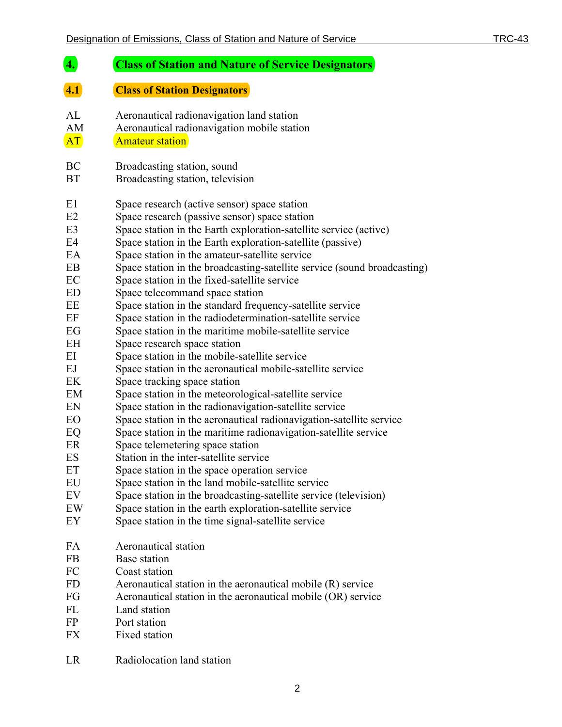#### <span id="page-4-1"></span><span id="page-4-0"></span>**4. Class of Station and Nature of Service Designators 4.1 Class of Station Designators**  AL Aeronautical radionavigation land station AM Aeronautical radionavigation mobile station **AT** Amateur station BC Broadcasting station, sound BT Broadcasting station, television E1 Space research (active sensor) space station E2 Space research (passive sensor) space station E3 Space station in the Earth exploration-satellite service (active) E4 Space station in the Earth exploration-satellite (passive) EA Space station in the amateur-satellite service EB Space station in the broadcasting-satellite service (sound broadcasting) EC Space station in the fixed-satellite service ED Space telecommand space station EE Space station in the standard frequency-satellite service EF Space station in the radiodetermination-satellite service EG Space station in the maritime mobile-satellite service EH Space research space station EI Space station in the mobile-satellite service EJ Space station in the aeronautical mobile-satellite service EK Space tracking space station EM Space station in the meteorological-satellite service EN Space station in the radionavigation-satellite service EO Space station in the aeronautical radionavigation-satellite service EQ Space station in the maritime radionavigation-satellite service ER Space telemetering space station ES Station in the inter-satellite service ET Space station in the space operation service EU Space station in the land mobile-satellite service EV Space station in the broadcasting-satellite service (television) EW Space station in the earth exploration-satellite service EY Space station in the time signal-satellite service FA Aeronautical station FB Base station FC Coast station FD Aeronautical station in the aeronautical mobile (R) service FG Aeronautical station in the aeronautical mobile (OR) service FL Land station FP Port station FX Fixed station

LR Radiolocation land station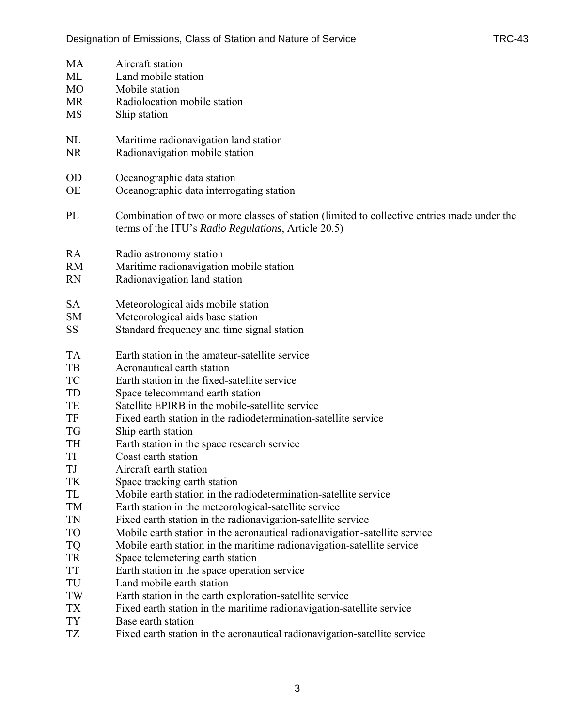| <b>MA</b>       | Aircraft station                                                                                                                                   |
|-----------------|----------------------------------------------------------------------------------------------------------------------------------------------------|
| ML              | Land mobile station                                                                                                                                |
| M <sub>O</sub>  | Mobile station                                                                                                                                     |
| <b>MR</b>       | Radiolocation mobile station                                                                                                                       |
| <b>MS</b>       | Ship station                                                                                                                                       |
| NL              | Maritime radionavigation land station                                                                                                              |
| <b>NR</b>       | Radionavigation mobile station                                                                                                                     |
|                 |                                                                                                                                                    |
| <b>OD</b>       | Oceanographic data station                                                                                                                         |
| <b>OE</b>       | Oceanographic data interrogating station                                                                                                           |
| PL              | Combination of two or more classes of station (limited to collective entries made under the<br>terms of the ITU's Radio Regulations, Article 20.5) |
| RA              | Radio astronomy station                                                                                                                            |
| <b>RM</b>       | Maritime radionavigation mobile station                                                                                                            |
| <b>RN</b>       | Radionavigation land station                                                                                                                       |
|                 |                                                                                                                                                    |
| <b>SA</b>       | Meteorological aids mobile station                                                                                                                 |
| <b>SM</b>       | Meteorological aids base station                                                                                                                   |
| <b>SS</b>       | Standard frequency and time signal station                                                                                                         |
| <b>TA</b>       | Earth station in the amateur-satellite service                                                                                                     |
| TB              | Aeronautical earth station                                                                                                                         |
| <b>TC</b>       | Earth station in the fixed-satellite service                                                                                                       |
| TD              | Space telecommand earth station                                                                                                                    |
| TE              | Satellite EPIRB in the mobile-satellite service                                                                                                    |
| TF              | Fixed earth station in the radiodetermination-satellite service                                                                                    |
| TG              | Ship earth station                                                                                                                                 |
| TH              | Earth station in the space research service                                                                                                        |
| TI              | Coast earth station                                                                                                                                |
| TJ              | Aircraft earth station                                                                                                                             |
| TK              | Space tracking earth station                                                                                                                       |
| TL              | Mobile earth station in the radiodetermination-satellite service                                                                                   |
| <b>TM</b>       | Earth station in the meteorological-satellite service                                                                                              |
| <b>TN</b>       | Fixed earth station in the radionavigation-satellite service                                                                                       |
| <b>TO</b>       | Mobile earth station in the aeronautical radionavigation-satellite service                                                                         |
| <b>TQ</b>       | Mobile earth station in the maritime radionavigation-satellite service                                                                             |
| <b>TR</b>       | Space telemetering earth station                                                                                                                   |
| <b>TT</b>       | Earth station in the space operation service                                                                                                       |
| TU              | Land mobile earth station                                                                                                                          |
| TW              | Earth station in the earth exploration-satellite service                                                                                           |
| <b>TX</b>       | Fixed earth station in the maritime radionavigation-satellite service                                                                              |
| <b>TY</b><br>TZ | Base earth station                                                                                                                                 |
|                 | Fixed earth station in the aeronautical radionavigation-satellite service                                                                          |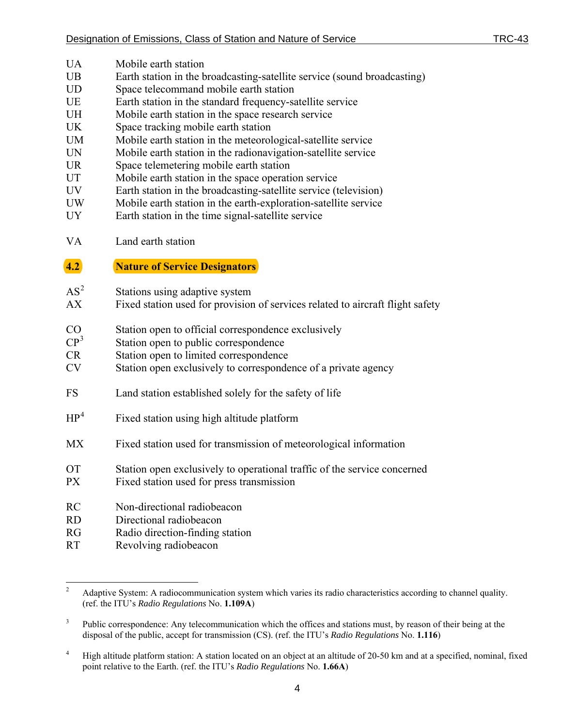- UA Mobile earth station
- UB Earth station in the broadcasting-satellite service (sound broadcasting)
- UD Space telecommand mobile earth station
- UE Earth station in the standard frequency-satellite service
- UH Mobile earth station in the space research service
- UK Space tracking mobile earth station
- UM Mobile earth station in the meteorological-satellite service
- UN Mobile earth station in the radionavigation-satellite service
- UR Space telemetering mobile earth station
- UT Mobile earth station in the space operation service
- UV Earth station in the broadcasting-satellite service (television)
- UW Mobile earth station in the earth-exploration-satellite service
- UY Earth station in the time signal-satellite service
- VA Land earth station

#### <span id="page-6-0"></span>**4.2 Nature of Service Designators**

- $AS^2$  $AS^2$ Stations using adaptive system
- AX Fixed station used for provision of services related to aircraft flight safety
- CO Station open to official correspondence exclusively
- $CP<sup>3</sup>$  $CP<sup>3</sup>$  $CP<sup>3</sup>$ Station open to public correspondence
- CR Station open to limited correspondence
- CV Station open exclusively to correspondence of a private agency
- FS Land station established solely for the safety of life
- $HP<sup>4</sup>$  $HP<sup>4</sup>$  $HP<sup>4</sup>$ Fixed station using high altitude platform
- MX Fixed station used for transmission of meteorological information
- OT Station open exclusively to operational traffic of the service concerned
- PX Fixed station used for press transmission
- RC Non-directional radiobeacon
- RD Directional radiobeacon
- RG Radio direction-finding station
- RT Revolving radiobeacon

 $\frac{1}{2}$  Adaptive System: A radiocommunication system which varies its radio characteristics according to channel quality. (ref. the ITU's *Radio Regulations* No. **1.109A**)

<span id="page-6-1"></span><sup>3</sup> Public correspondence: Any telecommunication which the offices and stations must, by reason of their being at the disposal of the public, accept for transmission (CS). (ref. the ITU's *Radio Regulations* No. **1.116**)

<span id="page-6-2"></span><sup>4</sup> High altitude platform station: A station located on an object at an altitude of 20-50 km and at a specified, nominal, fixed point relative to the Earth. (ref. the ITU's *Radio Regulations* No. **1.66A**)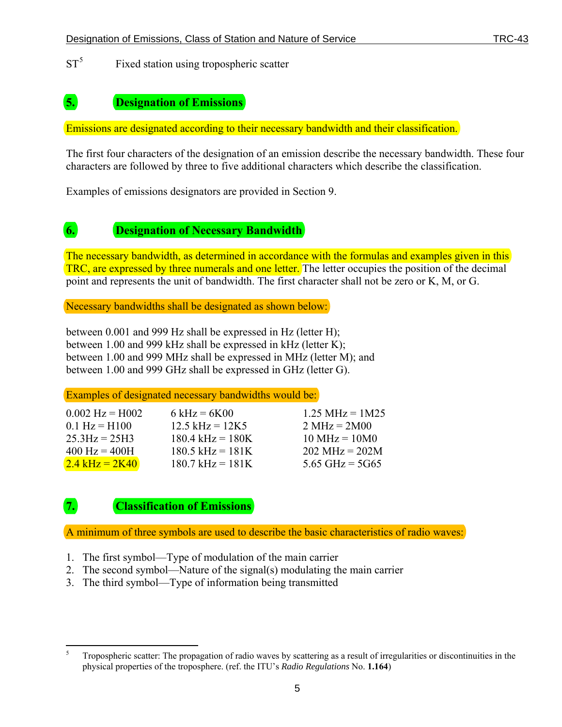$ST^5$  $ST^5$ Fixed station using tropospheric scatter

#### <span id="page-7-0"></span>**5. Designation of Emissions**

Emissions are designated according to their necessary bandwidth and their classification.

The first four characters of the designation of an emission describe the necessary bandwidth. These four characters are followed by three to five additional characters which describe the classification.

Examples of emissions designators are provided in Section 9.

#### <span id="page-7-1"></span>**6. Designation of Necessary Bandwidth**

The necessary bandwidth, as determined in accordance with the formulas and examples given in this TRC, are expressed by three numerals and one letter. The letter occupies the position of the decimal point and represents the unit of bandwidth. The first character shall not be zero or K, M, or G.

Necessary bandwidths shall be designated as shown below:

between 0.001 and 999 Hz shall be expressed in Hz (letter H); between 1.00 and 999 kHz shall be expressed in kHz (letter K); between 1.00 and 999 MHz shall be expressed in MHz (letter M); and between 1.00 and 999 GHz shall be expressed in GHz (letter G).

Examples of designated necessary bandwidths would be:

| $0.002$ Hz = H002               | $6 \text{ kHz} = 6 \text{K} 00$ | $1.25 \text{ MHz} = 1 \text{ M} 25$ |
|---------------------------------|---------------------------------|-------------------------------------|
| $0.1 \text{ Hz} = H100$         | $12.5$ kHz = $12K5$             | $2 \text{ MHz} = 2 \text{M}00$      |
| $25.3$ Hz = $25$ H3             | $180.4$ kHz = $180K$            | $10 \text{ MHz} = 10 \text{M}0$     |
| $400 \text{ Hz} = 400 \text{H}$ | $180.5$ kHz = $181K$            | $202 \text{ MHz} = 202 \text{M}$    |
| $2.4$ kHz = 2K40                | $180.7$ kHz = $181$ K           | 5.65 GHz = $5G65$                   |

### <span id="page-7-2"></span>**7. Classification of Emissions**

A minimum of three symbols are used to describe the basic characteristics of radio waves:

- 1. The first symbol—Type of modulation of the main carrier
- 2. The second symbol—Nature of the signal(s) modulating the main carrier
- 3. The third symbol—Type of information being transmitted

<span id="page-7-3"></span> $\frac{1}{5}$  Tropospheric scatter: The propagation of radio waves by scattering as a result of irregularities or discontinuities in the physical properties of the troposphere. (ref. the ITU's *Radio Regulations* No. **1.164**)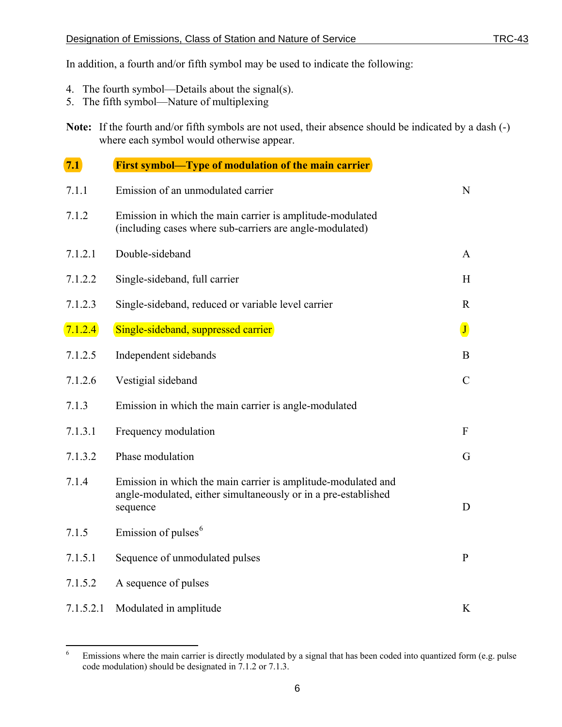In addition, a fourth and/or fifth symbol may be used to indicate the following:

- 4. The fourth symbol—Details about the signal(s).
- 5. The fifth symbol—Nature of multiplexing

**Note:** If the fourth and/or fifth symbols are not used, their absence should be indicated by a dash (-) where each symbol would otherwise appear.

<span id="page-8-0"></span>

| 7.1       | <b>First symbol—Type of modulation of the main carrier</b>                                                                                  |               |  |  |
|-----------|---------------------------------------------------------------------------------------------------------------------------------------------|---------------|--|--|
| 7.1.1     | Emission of an unmodulated carrier                                                                                                          |               |  |  |
| 7.1.2     | Emission in which the main carrier is amplitude-modulated<br>(including cases where sub-carriers are angle-modulated)                       |               |  |  |
| 7.1.2.1   | Double-sideband                                                                                                                             | $\mathbf{A}$  |  |  |
| 7.1.2.2   | Single-sideband, full carrier                                                                                                               | H             |  |  |
| 7.1.2.3   | Single-sideband, reduced or variable level carrier                                                                                          | $\mathbf{R}$  |  |  |
| 7.1.2.4   | Single-sideband, suppressed carrier                                                                                                         | $\mathbf{J}$  |  |  |
| 7.1.2.5   | Independent sidebands                                                                                                                       | $\bf{B}$      |  |  |
| 7.1.2.6   | Vestigial sideband                                                                                                                          | $\mathcal{C}$ |  |  |
| 7.1.3     | Emission in which the main carrier is angle-modulated                                                                                       |               |  |  |
| 7.1.3.1   | Frequency modulation                                                                                                                        | $\mathbf{F}$  |  |  |
| 7.1.3.2   | Phase modulation                                                                                                                            | G             |  |  |
| 7.1.4     | Emission in which the main carrier is amplitude-modulated and<br>angle-modulated, either simultaneously or in a pre-established<br>sequence | D             |  |  |
| 7.1.5     | Emission of pulses <sup>6</sup>                                                                                                             |               |  |  |
| 7.1.5.1   | Sequence of unmodulated pulses                                                                                                              | $\mathbf{P}$  |  |  |
| 7.1.5.2   | A sequence of pulses                                                                                                                        |               |  |  |
| 7.1.5.2.1 | Modulated in amplitude                                                                                                                      | K             |  |  |

<span id="page-8-1"></span> $\frac{1}{6}$  Emissions where the main carrier is directly modulated by a signal that has been coded into quantized form (e.g. pulse code modulation) should be designated in 7.1.2 or 7.1.3.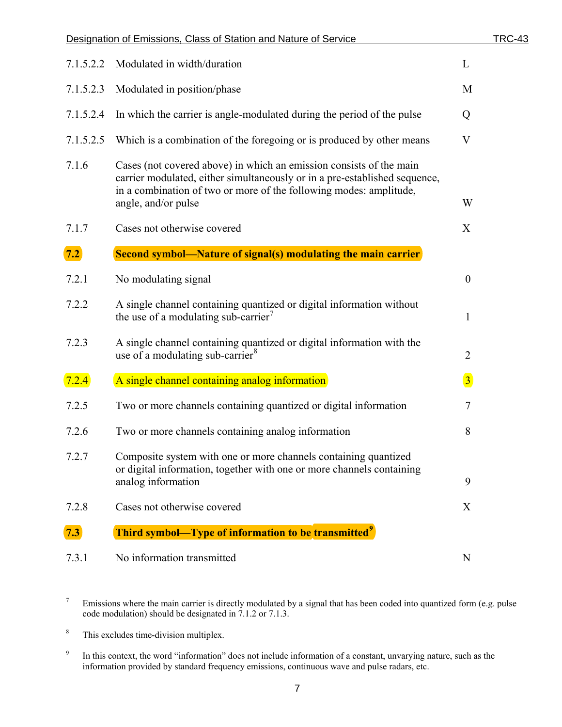<span id="page-9-0"></span>

|           | Designation of Emissions, Class of Station and Nature of Service                                                                                                                                                                               | <b>TRC-43</b>    |
|-----------|------------------------------------------------------------------------------------------------------------------------------------------------------------------------------------------------------------------------------------------------|------------------|
| 7.1.5.2.2 | Modulated in width/duration                                                                                                                                                                                                                    | L                |
| 7.1.5.2.3 | Modulated in position/phase                                                                                                                                                                                                                    | M                |
| 7.1.5.2.4 | In which the carrier is angle-modulated during the period of the pulse                                                                                                                                                                         | Q                |
| 7.1.5.2.5 | Which is a combination of the foregoing or is produced by other means                                                                                                                                                                          | $\mathbf V$      |
| 7.1.6     | Cases (not covered above) in which an emission consists of the main<br>carrier modulated, either simultaneously or in a pre-established sequence,<br>in a combination of two or more of the following modes: amplitude,<br>angle, and/or pulse | W                |
| 7.1.7     | Cases not otherwise covered                                                                                                                                                                                                                    | X                |
| 7.2       | <b>Second symbol—Nature of signal(s) modulating the main carrier</b>                                                                                                                                                                           |                  |
| 7.2.1     | No modulating signal                                                                                                                                                                                                                           | $\boldsymbol{0}$ |
| 7.2.2     | A single channel containing quantized or digital information without<br>the use of a modulating sub-carrier <sup>7</sup>                                                                                                                       | $\mathbf{1}$     |
| 7.2.3     | A single channel containing quantized or digital information with the<br>use of a modulating sub-carrier <sup>8</sup>                                                                                                                          | $\overline{2}$   |
| 7.2.4     | A single channel containing analog information                                                                                                                                                                                                 | $\overline{3}$   |
| 7.2.5     | Two or more channels containing quantized or digital information                                                                                                                                                                               | $\tau$           |
| 7.2.6     | Two or more channels containing analog information                                                                                                                                                                                             | 8                |
| 7.2.7     | Composite system with one or more channels containing quantized<br>or digital information, together with one or more channels containing<br>analog information                                                                                 | 9                |
| 7.2.8     | Cases not otherwise covered                                                                                                                                                                                                                    | X                |
| 7.3       | Third symbol—Type of information to be transmitted <sup>9</sup>                                                                                                                                                                                |                  |
| 7.3.1     | No information transmitted                                                                                                                                                                                                                     | N                |

<span id="page-9-4"></span><span id="page-9-1"></span><sup>-&</sup>lt;br>7 Emissions where the main carrier is directly modulated by a signal that has been coded into quantized form (e.g. pulse code modulation) should be designated in 7.1.2 or 7.1.3.

<span id="page-9-2"></span><sup>8</sup> This excludes time-division multiplex.

<span id="page-9-3"></span><sup>9</sup> In this context, the word "information" does not include information of a constant, unvarying nature, such as the information provided by standard frequency emissions, continuous wave and pulse radars, etc.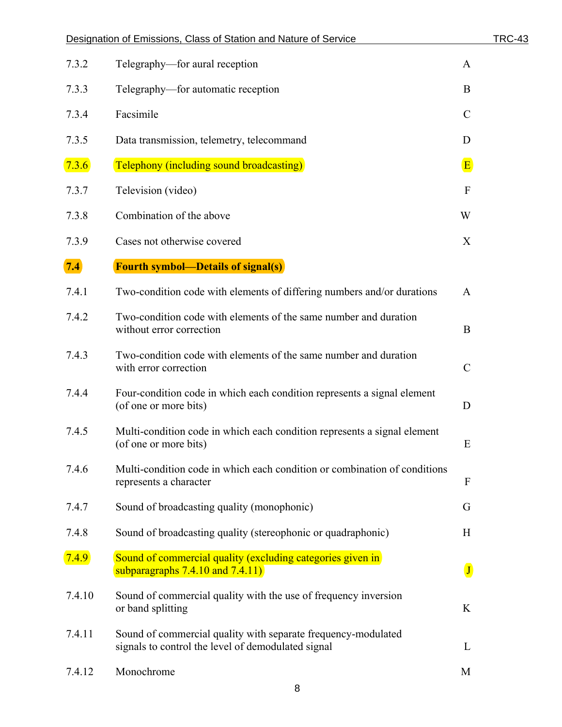<span id="page-10-0"></span>

|        | Designation of Emissions, Class of Station and Nature of Service                                                    | <b>TRC-43</b>        |
|--------|---------------------------------------------------------------------------------------------------------------------|----------------------|
| 7.3.2  | Telegraphy—for aural reception                                                                                      | $\mathbf{A}$         |
| 7.3.3  | Telegraphy—for automatic reception                                                                                  | B                    |
| 7.3.4  | Facsimile                                                                                                           | $\mathcal{C}$        |
| 7.3.5  | Data transmission, telemetry, telecommand                                                                           | D                    |
| 7.3.6  | <b>Telephony (including sound broadcasting)</b>                                                                     | $\vert$ E            |
| 7.3.7  | Television (video)                                                                                                  | $\mathbf{F}$         |
| 7.3.8  | Combination of the above                                                                                            | W                    |
| 7.3.9  | Cases not otherwise covered                                                                                         | X                    |
| 7.4    | <b>Fourth symbol—Details of signal(s)</b>                                                                           |                      |
| 7.4.1  | Two-condition code with elements of differing numbers and/or durations                                              | $\mathbf{A}$         |
| 7.4.2  | Two-condition code with elements of the same number and duration<br>without error correction                        | $\bf{B}$             |
| 7.4.3  | Two-condition code with elements of the same number and duration<br>with error correction                           | $\mathcal{C}$        |
| 7.4.4  | Four-condition code in which each condition represents a signal element<br>(of one or more bits)                    | D                    |
| 7.4.5  | Multi-condition code in which each condition represents a signal element<br>(of one or more bits)                   | Ε                    |
| 7.4.6  | Multi-condition code in which each condition or combination of conditions<br>represents a character                 | $\boldsymbol{F}$     |
| 7.4.7  | Sound of broadcasting quality (monophonic)                                                                          | G                    |
| 7.4.8  | Sound of broadcasting quality (stereophonic or quadraphonic)                                                        | H                    |
| 7.4.9  | Sound of commercial quality (excluding categories given in<br>subparagraphs $7.4.10$ and $7.4.11$ )                 | $\boxed{\mathbf{J}}$ |
| 7.4.10 | Sound of commercial quality with the use of frequency inversion<br>or band splitting                                | K                    |
| 7.4.11 | Sound of commercial quality with separate frequency-modulated<br>signals to control the level of demodulated signal | L                    |
| 7.4.12 | Monochrome                                                                                                          | M                    |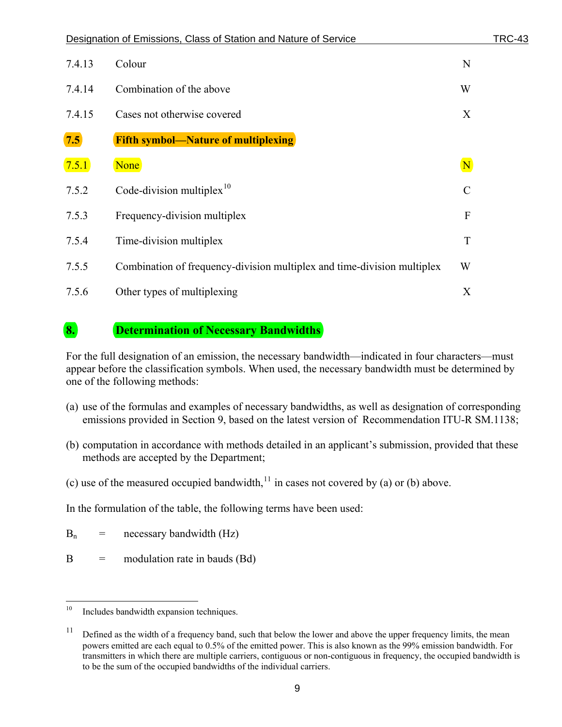<span id="page-11-0"></span>

|        | Designation of Emissions, Class of Station and Nature of Service        | TRC-43        |
|--------|-------------------------------------------------------------------------|---------------|
| 7.4.13 | Colour                                                                  | N             |
| 7.4.14 | Combination of the above                                                | W             |
| 7.4.15 | Cases not otherwise covered                                             | X             |
| 7.5    | <b>Fifth symbol—Nature of multiplexing</b>                              |               |
| 7.5.1  | None                                                                    | $\mathbf N$   |
| 7.5.2  | Code-division multiplex $10$                                            | $\mathcal{C}$ |
| 7.5.3  | Frequency-division multiplex                                            | ${\bf F}$     |
| 7.5.4  | Time-division multiplex                                                 | T             |
| 7.5.5  | Combination of frequency-division multiplex and time-division multiplex | W             |
| 7.5.6  | Other types of multiplexing                                             | X             |

#### <span id="page-11-1"></span>**8. Determination of Necessary Bandwidths**

For the full designation of an emission, the necessary bandwidth—indicated in four characters—must appear before the classification symbols. When used, the necessary bandwidth must be determined by one of the following methods:

- (a) use of the formulas and examples of necessary bandwidths, as well as designation of corresponding emissions provided in Section 9, based on the latest version of Recommendation ITU-R SM.1138;
- (b) computation in accordance with methods detailed in an applicant's submission, provided that these methods are accepted by the Department;
- (c) use of the measured occupied bandwidth,<sup>[11](#page-11-2)</sup> in cases not covered by (a) or (b) above.

In the formulation of the table, the following terms have been used:

 $B_n$  = necessary bandwidth (Hz)

 $B =$  modulation rate in bauds (Bd)

 $10\,$ Includes bandwidth expansion techniques.

<span id="page-11-3"></span><span id="page-11-2"></span><sup>&</sup>lt;sup>11</sup> Defined as the width of a frequency band, such that below the lower and above the upper frequency limits, the mean powers emitted are each equal to 0.5% of the emitted power. This is also known as the 99% emission bandwidth. For transmitters in which there are multiple carriers, contiguous or non-contiguous in frequency, the occupied bandwidth is to be the sum of the occupied bandwidths of the individual carriers.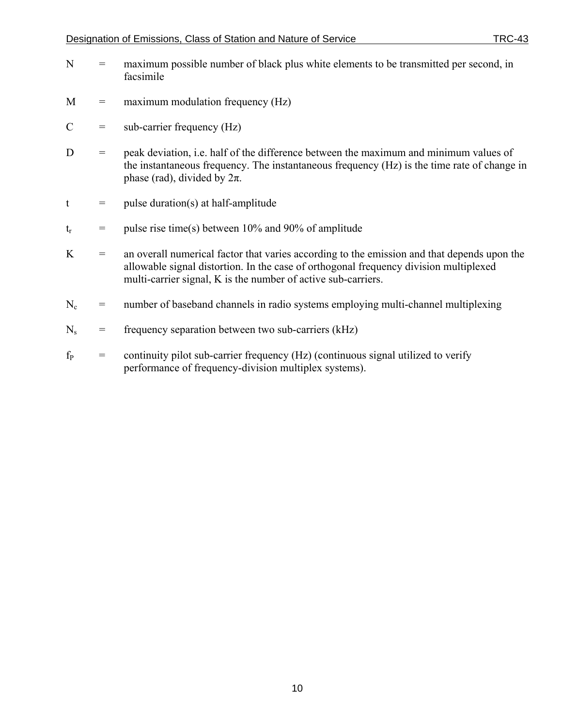- N = maximum possible number of black plus white elements to be transmitted per second, in facsimile
- $M =$  maximum modulation frequency (Hz)
- $C =$  sub-carrier frequency (Hz)
- D = peak deviation, i.e. half of the difference between the maximum and minimum values of the instantaneous frequency. The instantaneous frequency (Hz) is the time rate of change in phase (rad), divided by  $2\pi$ .
- $t = \text{pulse duration(s)}$  at half-amplitude
- $t_r$  = pulse rise time(s) between 10% and 90% of amplitude
- $K =$  an overall numerical factor that varies according to the emission and that depends upon the allowable signal distortion. In the case of orthogonal frequency division multiplexed multi-carrier signal, K is the number of active sub-carriers.
- $N_c$  = number of baseband channels in radio systems employing multi-channel multiplexing
- $N_s$  = frequency separation between two sub-carriers (kHz)
- $f<sub>P</sub>$  = continuity pilot sub-carrier frequency (Hz) (continuous signal utilized to verify performance of frequency-division multiplex systems).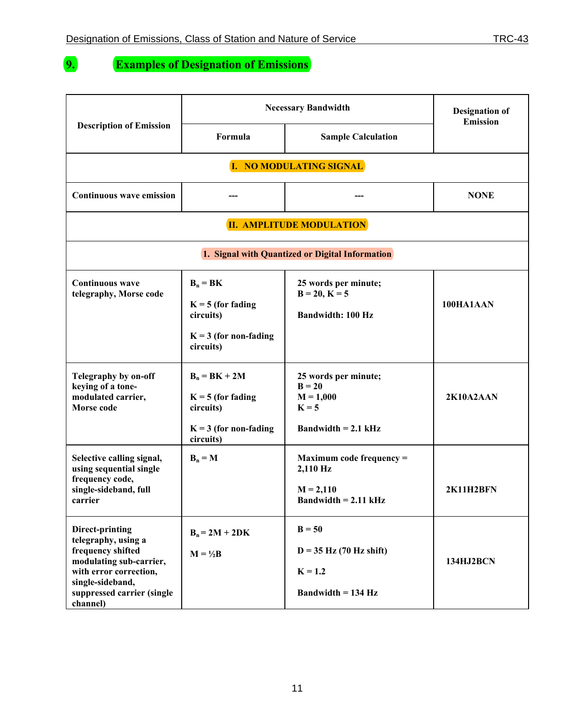<span id="page-13-0"></span>

### **9. Examples of Designation of Emissions**

|                                                                                                                                                                                | <b>Necessary Bandwidth</b>                                                                  |                                                                                     | <b>Designation of</b><br><b>Emission</b> |
|--------------------------------------------------------------------------------------------------------------------------------------------------------------------------------|---------------------------------------------------------------------------------------------|-------------------------------------------------------------------------------------|------------------------------------------|
| <b>Description of Emission</b>                                                                                                                                                 | Formula                                                                                     | <b>Sample Calculation</b>                                                           |                                          |
|                                                                                                                                                                                |                                                                                             | I. NO MODULATING SIGNAL                                                             |                                          |
| <b>Continuous wave emission</b>                                                                                                                                                |                                                                                             |                                                                                     | <b>NONE</b>                              |
|                                                                                                                                                                                |                                                                                             | <b>II. AMPLITUDE MODULATION</b>                                                     |                                          |
|                                                                                                                                                                                |                                                                                             | 1. Signal with Quantized or Digital Information                                     |                                          |
| <b>Continuous</b> wave<br>telegraphy, Morse code                                                                                                                               | $B_n = BK$<br>$K = 5$ (for fading<br>circuits)<br>$K = 3$ (for non-fading<br>circuits)      | 25 words per minute;<br>$B = 20, K = 5$<br><b>Bandwidth: 100 Hz</b>                 | 100HA1AAN                                |
| Telegraphy by on-off<br>keying of a tone-<br>modulated carrier,<br>Morse code                                                                                                  | $B_n = BK + 2M$<br>$K = 5$ (for fading<br>circuits)<br>$K = 3$ (for non-fading<br>circuits) | 25 words per minute;<br>$B = 20$<br>$M = 1,000$<br>$K = 5$<br>Bandwidth $= 2.1$ kHz | 2K10A2AAN                                |
| Selective calling signal,<br>using sequential single<br>frequency code,<br>single-sideband, full<br>carrier                                                                    | $B_n = M$                                                                                   | Maximum code frequency =<br>2,110 Hz<br>$M = 2,110$<br>Bandwidth $= 2.11$ kHz       | 2K11H2BFN                                |
| Direct-printing<br>telegraphy, using a<br>frequency shifted<br>modulating sub-carrier,<br>with error correction,<br>single-sideband,<br>suppressed carrier (single<br>channel) | $B_n = 2M + 2DK$<br>$M = \frac{1}{2}B$                                                      | $B = 50$<br>$D = 35$ Hz (70 Hz shift)<br>$K = 1.2$<br>Bandwidth $= 134$ Hz          | 134HJ2BCN                                |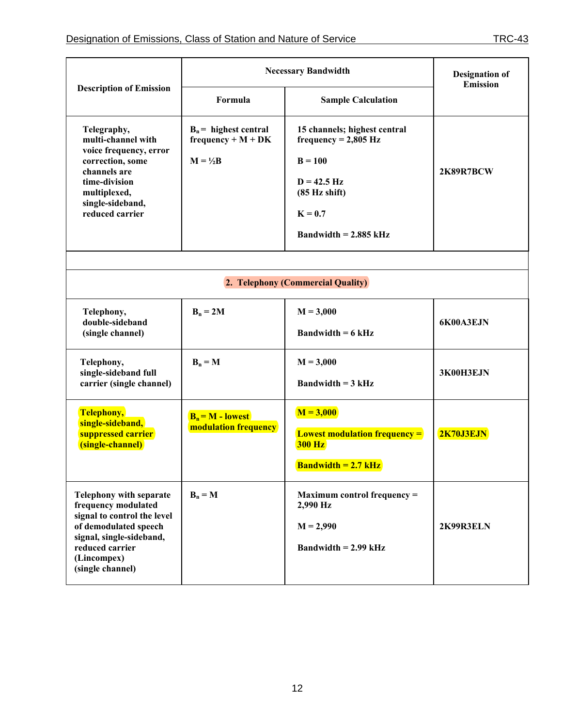|                                                                                                                                                                                                 | <b>Necessary Bandwidth</b>                                            |                                                                                                                                               | <b>Designation of</b><br><b>Emission</b> |
|-------------------------------------------------------------------------------------------------------------------------------------------------------------------------------------------------|-----------------------------------------------------------------------|-----------------------------------------------------------------------------------------------------------------------------------------------|------------------------------------------|
| <b>Description of Emission</b>                                                                                                                                                                  | Formula                                                               | <b>Sample Calculation</b>                                                                                                                     |                                          |
| Telegraphy,<br>multi-channel with<br>voice frequency, error<br>correction, some<br>channels are<br>time-division<br>multiplexed,<br>single-sideband,<br>reduced carrier                         | $B_n$ = highest central<br>$frequency + M + DK$<br>$M = \frac{1}{2}B$ | 15 channels; highest central<br>$frequency = 2,805 Hz$<br>$B = 100$<br>$D = 42.5$ Hz<br>(85 Hz shift)<br>$K = 0.7$<br>Bandwidth $= 2.885$ kHz | 2K89R7BCW                                |
|                                                                                                                                                                                                 |                                                                       | 2. Telephony (Commercial Quality)                                                                                                             |                                          |
| Telephony,<br>double-sideband<br>(single channel)                                                                                                                                               | $B_n = 2M$                                                            | $M = 3,000$<br>Bandwidth $= 6$ kHz                                                                                                            | 6K00A3EJN                                |
| Telephony,<br>single-sideband full<br>carrier (single channel)                                                                                                                                  | $B_n = M$                                                             | $M = 3,000$<br>Bandwidth $= 3$ kHz                                                                                                            | 3K00H3EJN                                |
| <b>Telephony,</b><br>single-sideband,<br>suppressed carrier<br>(single-channel)                                                                                                                 | $B_n = M - lowest$<br>modulation frequency                            | $M = 3,000$<br><b>Lowest modulation frequency =</b><br><b>300 Hz</b><br><b>Bandwidth = 2.7 kHz</b>                                            | 2K70J3EJN                                |
| <b>Telephony with separate</b><br>frequency modulated<br>signal to control the level<br>of demodulated speech<br>signal, single-sideband,<br>reduced carrier<br>(Lincompex)<br>(single channel) | $B_n = M$                                                             | <b>Maximum control frequency =</b><br>2,990 Hz<br>$M = 2,990$<br>Bandwidth $= 2.99$ kHz                                                       | 2K99R3ELN                                |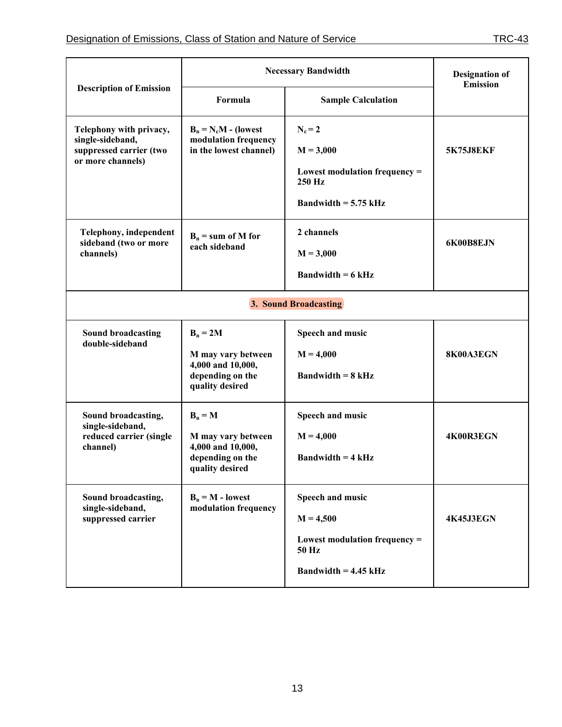|                                                                                             | <b>Necessary Bandwidth</b>                                                                   |                                                                                                       | <b>Designation of</b><br><b>Emission</b> |  |  |
|---------------------------------------------------------------------------------------------|----------------------------------------------------------------------------------------------|-------------------------------------------------------------------------------------------------------|------------------------------------------|--|--|
| <b>Description of Emission</b>                                                              | Formula                                                                                      | <b>Sample Calculation</b>                                                                             |                                          |  |  |
| Telephony with privacy,<br>single-sideband,<br>suppressed carrier (two<br>or more channels) | $B_n = N_c M$ - (lowest<br>modulation frequency<br>in the lowest channel)                    | $N_c = 2$<br>$M = 3,000$<br>Lowest modulation frequency $=$<br>250 Hz<br>Bandwidth $= 5.75$ kHz       | <b>5K75J8EKF</b>                         |  |  |
| Telephony, independent<br>sideband (two or more<br>channels)                                | $B_n$ = sum of M for<br>each sideband                                                        | 2 channels<br>$M = 3,000$<br><b>Bandwidth = 6 kHz</b>                                                 | 6K00B8EJN                                |  |  |
| 3. Sound Broadcasting                                                                       |                                                                                              |                                                                                                       |                                          |  |  |
| <b>Sound broadcasting</b><br>double-sideband                                                | $B_n = 2M$<br>M may vary between<br>4,000 and 10,000,<br>depending on the<br>quality desired | Speech and music<br>$M = 4,000$<br><b>Bandwidth = <math>8</math> kHz</b>                              | 8K00A3EGN                                |  |  |
| Sound broadcasting,<br>single-sideband,<br>reduced carrier (single<br>channel)              | $B_n = M$<br>M may vary between<br>4,000 and 10,000,<br>depending on the<br>quality desired  | Speech and music<br>$M = 4,000$<br><b>Bandwidth = 4 kHz</b>                                           | 4K00R3EGN                                |  |  |
| Sound broadcasting,<br>single-sideband,<br>suppressed carrier                               | $B_n = M -$ lowest<br>modulation frequency                                                   | Speech and music<br>$M = 4,500$<br>Lowest modulation frequency $=$<br>50 Hz<br>Bandwidth $= 4.45$ kHz | 4K45J3EGN                                |  |  |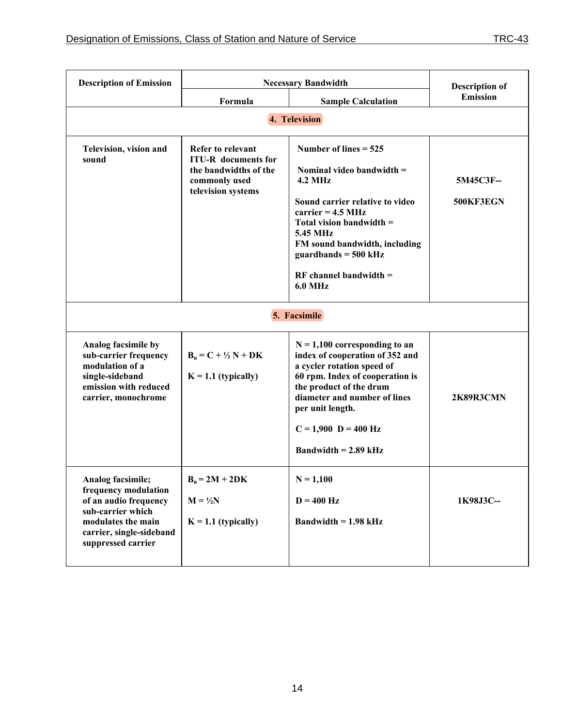| <b>Description of Emission</b>                                                                                                                                  | <b>Necessary Bandwidth</b>                                                                                      |                                                                                                                                                                                                                                                                                             | <b>Description of</b>  |  |  |  |  |
|-----------------------------------------------------------------------------------------------------------------------------------------------------------------|-----------------------------------------------------------------------------------------------------------------|---------------------------------------------------------------------------------------------------------------------------------------------------------------------------------------------------------------------------------------------------------------------------------------------|------------------------|--|--|--|--|
|                                                                                                                                                                 | Formula                                                                                                         | <b>Sample Calculation</b>                                                                                                                                                                                                                                                                   | <b>Emission</b>        |  |  |  |  |
|                                                                                                                                                                 | 4. Television                                                                                                   |                                                                                                                                                                                                                                                                                             |                        |  |  |  |  |
| Television, vision and<br>sound                                                                                                                                 | Refer to relevant<br><b>ITU-R</b> documents for<br>the bandwidths of the<br>commonly used<br>television systems | Number of lines $= 525$<br>Nominal video bandwidth $=$<br><b>4.2 MHz</b><br>Sound carrier relative to video<br>carrier = $4.5 \text{ MHz}$<br>Total vision bandwidth =<br>5.45 MHz<br>FM sound bandwidth, including<br>guardbands = $500$ kHz<br>$RF channel bandwidth =$<br><b>6.0 MHz</b> | 5M45C3F--<br>500KF3EGN |  |  |  |  |
|                                                                                                                                                                 |                                                                                                                 | 5. Facsimile                                                                                                                                                                                                                                                                                |                        |  |  |  |  |
| Analog facsimile by<br>sub-carrier frequency<br>modulation of a<br>single-sideband<br>emission with reduced<br>carrier, monochrome                              | $B_n = C + \frac{1}{2} N + DK$<br>$K = 1.1$ (typically)                                                         | $N = 1,100$ corresponding to an<br>index of cooperation of 352 and<br>a cycler rotation speed of<br>60 rpm. Index of cooperation is<br>the product of the drum<br>diameter and number of lines<br>per unit length.<br>$C = 1,900$ D = 400 Hz<br>Bandwidth $= 2.89$ kHz                      | 2K89R3CMN              |  |  |  |  |
| Analog facsimile;<br>frequency modulation<br>of an audio frequency<br>sub-carrier which<br>modulates the main<br>carrier, single-sideband<br>suppressed carrier | $B_n = 2M + 2DK$<br>$M = \frac{1}{2}N$<br>$K = 1.1$ (typically)                                                 | $N = 1,100$<br>$D = 400$ Hz<br>Bandwidth $= 1.98$ kHz                                                                                                                                                                                                                                       | 1K98J3C--              |  |  |  |  |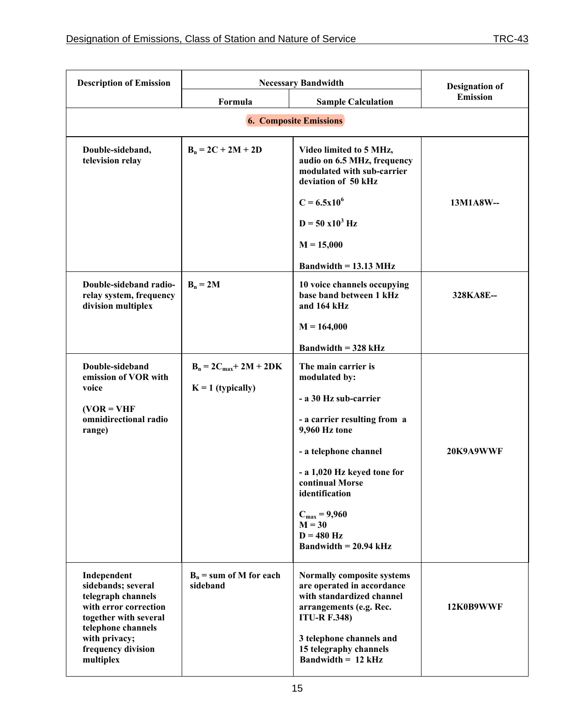| <b>Description of Emission</b>                                                                                                                                         | <b>Necessary Bandwidth</b>            |                                                                                                                                                                                               | <b>Designation of</b> |
|------------------------------------------------------------------------------------------------------------------------------------------------------------------------|---------------------------------------|-----------------------------------------------------------------------------------------------------------------------------------------------------------------------------------------------|-----------------------|
|                                                                                                                                                                        | Formula                               | <b>Sample Calculation</b>                                                                                                                                                                     | <b>Emission</b>       |
|                                                                                                                                                                        |                                       | <b>6. Composite Emissions</b>                                                                                                                                                                 |                       |
| Double-sideband,<br>television relay                                                                                                                                   | $B_n = 2C + 2M + 2D$                  | Video limited to 5 MHz,<br>audio on 6.5 MHz, frequency<br>modulated with sub-carrier<br>deviation of 50 kHz                                                                                   |                       |
|                                                                                                                                                                        |                                       | $C = 6.5x10^6$                                                                                                                                                                                | 13M1A8W--             |
|                                                                                                                                                                        |                                       | $D = 50 \times 10^3$ Hz                                                                                                                                                                       |                       |
|                                                                                                                                                                        |                                       | $M = 15,000$                                                                                                                                                                                  |                       |
|                                                                                                                                                                        |                                       | Bandwidth $= 13.13 \text{ MHz}$                                                                                                                                                               |                       |
| Double-sideband radio-<br>relay system, frequency<br>division multiplex                                                                                                | $B_n = 2M$                            | 10 voice channels occupying<br>base band between 1 kHz<br>and 164 kHz                                                                                                                         | 328KA8E--             |
|                                                                                                                                                                        |                                       | $M = 164,000$                                                                                                                                                                                 |                       |
|                                                                                                                                                                        |                                       | <b>Bandwidth = 328 kHz</b>                                                                                                                                                                    |                       |
| Double-sideband<br>emission of VOR with                                                                                                                                | $B_n = 2C_{max} + 2M + 2DK$           | The main carrier is<br>modulated by:                                                                                                                                                          |                       |
| voice                                                                                                                                                                  | $K = 1$ (typically)                   | - a 30 Hz sub-carrier                                                                                                                                                                         |                       |
| $(VOR = VHF)$<br>omnidirectional radio<br>range)                                                                                                                       |                                       | - a carrier resulting from a<br>9,960 Hz tone                                                                                                                                                 |                       |
|                                                                                                                                                                        |                                       | - a telephone channel                                                                                                                                                                         | 20K9A9WWF             |
|                                                                                                                                                                        |                                       | - a 1,020 Hz keyed tone for<br>continual Morse<br>identification                                                                                                                              |                       |
|                                                                                                                                                                        |                                       | $C_{max} = 9,960$<br>$M = 30$<br>$D = 480$ Hz<br>Bandwidth $= 20.94$ kHz                                                                                                                      |                       |
| Independent<br>sidebands; several<br>telegraph channels<br>with error correction<br>together with several<br>telephone channels<br>with privacy;<br>frequency division | $B_n$ = sum of M for each<br>sideband | Normally composite systems<br>are operated in accordance<br>with standardized channel<br>arrangements (e.g. Rec.<br><b>ITU-R F.348)</b><br>3 telephone channels and<br>15 telegraphy channels | 12K0B9WWF             |
| multiplex                                                                                                                                                              |                                       | <b>Bandwidth = 12 kHz</b>                                                                                                                                                                     |                       |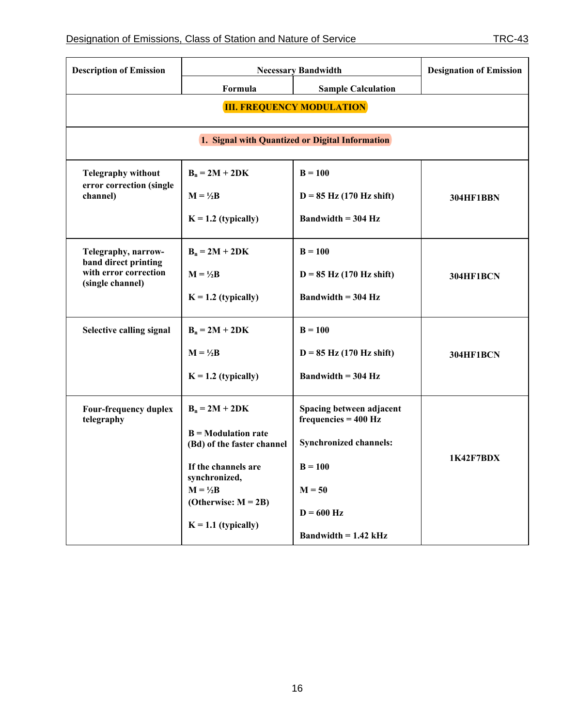| <b>Description of Emission</b>                                    | <b>Necessary Bandwidth</b>                          |                                                    | <b>Designation of Emission</b> |  |
|-------------------------------------------------------------------|-----------------------------------------------------|----------------------------------------------------|--------------------------------|--|
|                                                                   | Formula                                             | <b>Sample Calculation</b>                          |                                |  |
| <b>III. FREQUENCY MODULATION</b>                                  |                                                     |                                                    |                                |  |
|                                                                   | 1. Signal with Quantized or Digital Information     |                                                    |                                |  |
| <b>Telegraphy without</b>                                         | $B_n = 2M + 2DK$                                    | $B = 100$                                          |                                |  |
| error correction (single<br>channel)                              | $M = \frac{1}{2}B$                                  | $D = 85$ Hz (170 Hz shift)                         | 304HF1BBN                      |  |
|                                                                   | $K = 1.2$ (typically)                               | Bandwidth $=$ 304 Hz                               |                                |  |
| Telegraphy, narrow-                                               | $B_n = 2M + 2DK$                                    | $B = 100$                                          |                                |  |
| band direct printing<br>with error correction<br>(single channel) | $M = \frac{1}{2}B$                                  | $D = 85$ Hz (170 Hz shift)                         | 304HF1BCN                      |  |
|                                                                   | $K = 1.2$ (typically)                               | Bandwidth $=$ 304 Hz                               |                                |  |
| Selective calling signal                                          | $B_n = 2M + 2DK$                                    | $B = 100$                                          |                                |  |
|                                                                   | $M = \frac{1}{2}B$                                  | $D = 85$ Hz (170 Hz shift)                         | 304HF1BCN                      |  |
|                                                                   | $K = 1.2$ (typically)                               | Bandwidth $=$ 304 Hz                               |                                |  |
| <b>Four-frequency duplex</b><br>telegraphy                        | $B_n = 2M + 2DK$                                    | Spacing between adjacent<br>$frequencies = 400 Hz$ |                                |  |
|                                                                   | $B = Modulation rate$<br>(Bd) of the faster channel | <b>Synchronized channels:</b>                      |                                |  |
|                                                                   | If the channels are<br>synchronized,                | $B = 100$                                          | 1K42F7BDX                      |  |
|                                                                   | $M = \frac{1}{2}B$                                  | $M = 50$                                           |                                |  |
|                                                                   | (Otherwise: $M = 2B$ )                              | $D = 600$ Hz                                       |                                |  |
|                                                                   | $K = 1.1$ (typically)                               | Bandwidth $= 1.42$ kHz                             |                                |  |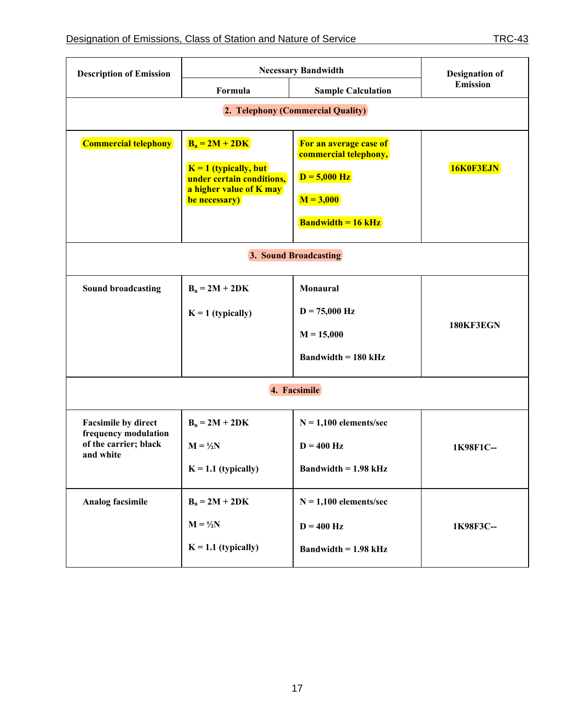$\overline{\phantom{a}}$ 

| <b>Description of Emission</b>                     | <b>Necessary Bandwidth</b>                                                                                           |                                                                                                               | <b>Designation of</b> |
|----------------------------------------------------|----------------------------------------------------------------------------------------------------------------------|---------------------------------------------------------------------------------------------------------------|-----------------------|
|                                                    | Formula                                                                                                              | <b>Sample Calculation</b>                                                                                     | <b>Emission</b>       |
|                                                    |                                                                                                                      | 2. Telephony (Commercial Quality)                                                                             |                       |
| <b>Commercial telephony</b>                        | $B_n = 2M + 2DK$<br>$K = 1$ (typically, but<br>under certain conditions,<br>a higher value of K may<br>be necessary) | For an average case of<br>commercial telephony,<br>$D = 5,000$ Hz<br>$M = 3,000$<br><b>Bandwidth = 16 kHz</b> | 16K0F3EJN             |
| 3. Sound Broadcasting                              |                                                                                                                      |                                                                                                               |                       |
| <b>Sound broadcasting</b>                          | $B_n = 2M + 2DK$                                                                                                     | Monaural                                                                                                      |                       |
|                                                    | $K = 1$ (typically)                                                                                                  | $D = 75,000$ Hz                                                                                               |                       |
|                                                    |                                                                                                                      | $M = 15,000$                                                                                                  | 180KF3EGN             |
|                                                    |                                                                                                                      | <b>Bandwidth = 180 kHz</b>                                                                                    |                       |
| 4. Facsimile                                       |                                                                                                                      |                                                                                                               |                       |
| <b>Facsimile by direct</b><br>frequency modulation | $B_n = 2M + 2DK$                                                                                                     | $N = 1,100$ elements/sec                                                                                      |                       |
| of the carrier; black<br>and white                 | $M = \frac{1}{2}N$                                                                                                   | $D = 400$ Hz                                                                                                  | 1K98F1C--             |
|                                                    | $K = 1.1$ (typically)                                                                                                | Bandwidth $= 1.98$ kHz                                                                                        |                       |
| <b>Analog facsimile</b>                            | $B_n = 2M + 2DK$                                                                                                     | $N = 1,100$ elements/sec                                                                                      |                       |
|                                                    | $M = \frac{1}{2}N$                                                                                                   | $D = 400$ Hz                                                                                                  | 1K98F3C-              |
|                                                    | $K = 1.1$ (typically)                                                                                                | Bandwidth $= 1.98$ kHz                                                                                        |                       |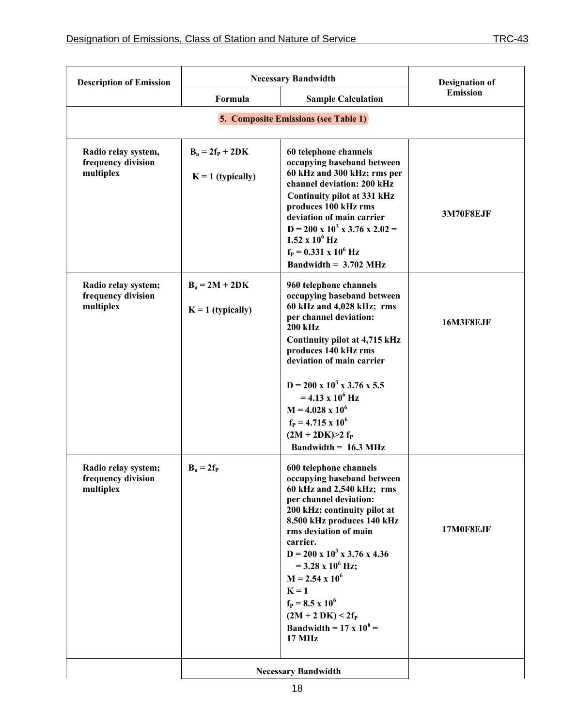| <b>Necessary Bandwidth</b><br><b>Description of Emission</b> |                                             |                                                                                                                                                                                                                                                                                                                                                                                                                                              | <b>Designation of</b> |  |
|--------------------------------------------------------------|---------------------------------------------|----------------------------------------------------------------------------------------------------------------------------------------------------------------------------------------------------------------------------------------------------------------------------------------------------------------------------------------------------------------------------------------------------------------------------------------------|-----------------------|--|
|                                                              | Formula                                     | <b>Sample Calculation</b>                                                                                                                                                                                                                                                                                                                                                                                                                    | <b>Emission</b>       |  |
|                                                              | <b>5. Composite Emissions (see Table 1)</b> |                                                                                                                                                                                                                                                                                                                                                                                                                                              |                       |  |
| Radio relay system,<br>frequency division<br>multiplex       | $B_n = 2f_P + 2DK$<br>$K = 1$ (typically)   | 60 telephone channels<br>occupying baseband between<br>60 kHz and 300 kHz; rms per<br>channel deviation: 200 kHz<br><b>Continuity pilot at 331 kHz</b><br>produces 100 kHz rms<br>deviation of main carrier<br>$D = 200 \times 10^3 \times 3.76 \times 2.02 =$<br>$1.52 \times 10^6$ Hz<br>$f_P = 0.331 \times 10^6$ Hz<br>Bandwidth = $3.702$ MHz                                                                                           | 3M70F8EJF             |  |
| Radio relay system;<br>frequency division<br>multiplex       | $B_n = 2M + 2DK$<br>$K = 1$ (typically)     | 960 telephone channels<br>occupying baseband between<br>60 kHz and 4,028 kHz; rms<br>per channel deviation:<br><b>200 kHz</b><br>Continuity pilot at 4,715 kHz<br>produces 140 kHz rms<br>deviation of main carrier<br>$D = 200 \times 10^3 \times 3.76 \times 5.5$<br>$= 4.13 \times 10^6$ Hz<br>$M = 4.028 \times 10^6$<br>$f_P = 4.715 \times 10^6$<br>$(2M + 2DK) > 2 f_P$<br>Bandwidth = $16.3 \text{ MHz}$                             | 16M3F8EJF             |  |
| Radio relay system;<br>frequency division<br>multiplex       | $B_n = 2f_P$                                | 600 telephone channels<br>occupying baseband between<br>60 kHz and 2,540 kHz; rms<br>per channel deviation:<br>200 kHz; continuity pilot at<br>8,500 kHz produces 140 kHz<br>rms deviation of main<br>carrier.<br>$D = 200 \times 10^3 \times 3.76 \times 4.36$<br>$=$ 3.28 x 10 <sup>6</sup> Hz;<br>$M = 2.54 \times 10^6$<br>$K = 1$<br>$f_P = 8.5 \times 10^6$<br>$(2M + 2 DK) < 2f_P$<br>Bandwidth = $17 \times 10^6$ =<br><b>17 MHz</b> | 17M0F8EJF             |  |
|                                                              | <b>Necessary Bandwidth</b>                  |                                                                                                                                                                                                                                                                                                                                                                                                                                              |                       |  |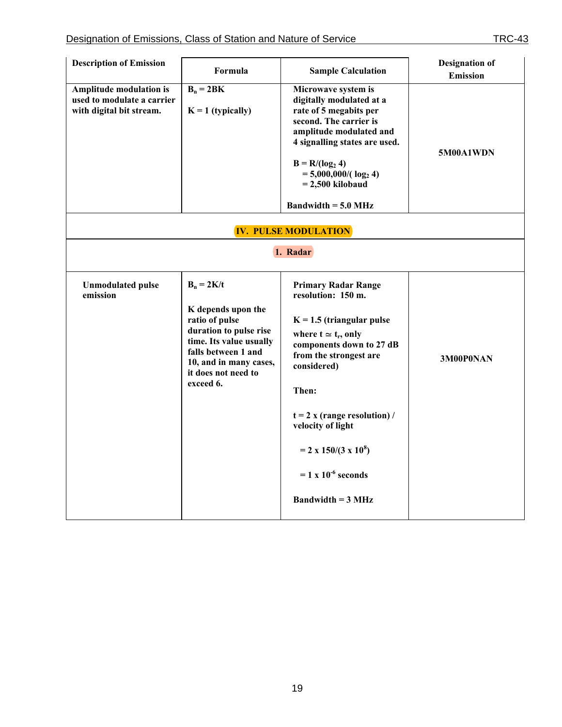| <b>Description of Emission</b>                                                    | Formula                                                                                                                                                                                        | <b>Sample Calculation</b>                                                                                                                                                                                                                                                                                                                                    | <b>Designation of</b><br><b>Emission</b> |
|-----------------------------------------------------------------------------------|------------------------------------------------------------------------------------------------------------------------------------------------------------------------------------------------|--------------------------------------------------------------------------------------------------------------------------------------------------------------------------------------------------------------------------------------------------------------------------------------------------------------------------------------------------------------|------------------------------------------|
| Amplitude modulation is<br>used to modulate a carrier<br>with digital bit stream. | $B_n = 2BK$<br>$K = 1$ (typically)                                                                                                                                                             | Microwave system is<br>digitally modulated at a<br>rate of 5 megabits per<br>second. The carrier is<br>amplitude modulated and<br>4 signalling states are used.<br>$B = R/(log_2 4)$<br>$= 5,000,000/(\log_2 4)$<br>$= 2,500$ kilobaud<br><b>Bandwidth = 5.0 MHz</b>                                                                                         | 5M00A1WDN                                |
|                                                                                   |                                                                                                                                                                                                | <b>IV. PULSE MODULATION</b>                                                                                                                                                                                                                                                                                                                                  |                                          |
|                                                                                   | 1. Radar                                                                                                                                                                                       |                                                                                                                                                                                                                                                                                                                                                              |                                          |
| <b>Unmodulated pulse</b><br>emission                                              | $B_n = 2K/t$<br>K depends upon the<br>ratio of pulse<br>duration to pulse rise<br>time. Its value usually<br>falls between 1 and<br>10, and in many cases,<br>it does not need to<br>exceed 6. | <b>Primary Radar Range</b><br>resolution: 150 m.<br>$K = 1.5$ (triangular pulse<br>where $t \approx t_r$ , only<br>components down to 27 dB<br>from the strongest are<br>considered)<br>Then:<br>$t = 2$ x (range resolution) /<br>velocity of light<br>$= 2 \times 150/(3 \times 10^8)$<br>$= 1 x 10^{-6}$ seconds<br><b>Bandwidth = <math>3 MHz</math></b> | 3M00P0NAN                                |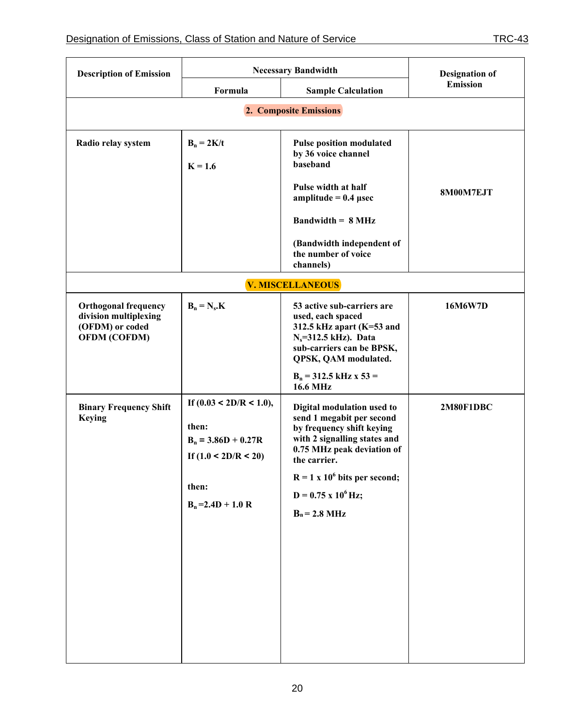| <b>Description of Emission</b>                                                                 | <b>Necessary Bandwidth</b>                                                                                                  |                                                                                                                                                                                                                                                            | <b>Designation of</b> |  |
|------------------------------------------------------------------------------------------------|-----------------------------------------------------------------------------------------------------------------------------|------------------------------------------------------------------------------------------------------------------------------------------------------------------------------------------------------------------------------------------------------------|-----------------------|--|
|                                                                                                | Formula                                                                                                                     | <b>Sample Calculation</b>                                                                                                                                                                                                                                  | <b>Emission</b>       |  |
|                                                                                                | 2. Composite Emissions                                                                                                      |                                                                                                                                                                                                                                                            |                       |  |
| Radio relay system                                                                             | $B_n = 2K/t$<br>$K = 1.6$                                                                                                   | <b>Pulse position modulated</b><br>by 36 voice channel<br>baseband<br>Pulse width at half<br>amplitude = $0.4$ µsec<br><b>Bandwidth = <math>8</math> MHz</b><br>(Bandwidth independent of                                                                  | 8M00M7EJT             |  |
|                                                                                                |                                                                                                                             | the number of voice<br>channels)                                                                                                                                                                                                                           |                       |  |
|                                                                                                |                                                                                                                             | V. MISCELLANEOUS                                                                                                                                                                                                                                           |                       |  |
| <b>Orthogonal frequency</b><br>division multiplexing<br>(OFDM) or coded<br><b>OFDM (COFDM)</b> | $B_n = N_s.K$                                                                                                               | 53 active sub-carriers are<br>used, each spaced<br>312.5 kHz apart $(K=53$ and<br>$N_s = 312.5$ kHz). Data<br>sub-carriers can be BPSK,<br>QPSK, QAM modulated.<br>$B_n = 312.5$ kHz x 53 =<br><b>16.6 MHz</b>                                             | 16M6W7D               |  |
| <b>Binary Frequency Shift</b><br><b>Keying</b>                                                 | If $(0.03 \le 2D/R \le 1.0)$ ,<br>then:<br>$B_n = 3.86D + 0.27R$<br>If $(1.0 < 2D/R < 20)$<br>then:<br>$B_n = 2.4D + 1.0 R$ | Digital modulation used to<br>send 1 megabit per second<br>by frequency shift keying<br>with 2 signalling states and<br>0.75 MHz peak deviation of<br>the carrier.<br>$R = 1 x 106 bits per second;$<br>$D = 0.75$ x $10^6$ Hz;<br>$B_n = 2.8 \text{ MHz}$ | 2M80F1DBC             |  |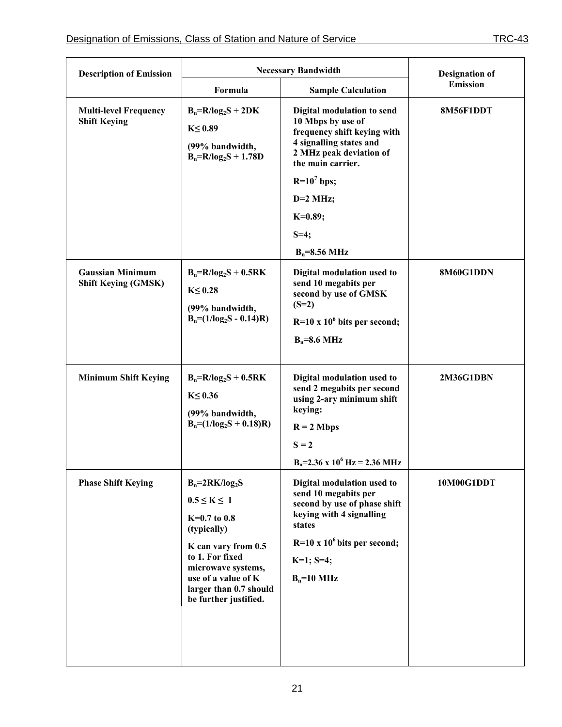| <b>Description of Emission</b>                        | <b>Necessary Bandwidth</b>                                                                                                                                                                                           |                                                                                                                                                                                                                 | <b>Designation of</b> |
|-------------------------------------------------------|----------------------------------------------------------------------------------------------------------------------------------------------------------------------------------------------------------------------|-----------------------------------------------------------------------------------------------------------------------------------------------------------------------------------------------------------------|-----------------------|
|                                                       | Formula                                                                                                                                                                                                              | <b>Sample Calculation</b>                                                                                                                                                                                       | <b>Emission</b>       |
| <b>Multi-level Frequency</b><br><b>Shift Keying</b>   | $B_n=R/log_2S + 2DK$<br>$K \leq 0.89$<br>(99% bandwidth,<br>$B_n=R/log_2S + 1.78D$                                                                                                                                   | Digital modulation to send<br>10 Mbps by use of<br>frequency shift keying with<br>4 signalling states and<br>2 MHz peak deviation of<br>the main carrier.<br>$R=10^7$ bps;<br>$D=2$ MHz;<br>$K=0.89;$<br>$S=4;$ | 8M56F1DDT             |
|                                                       |                                                                                                                                                                                                                      | $B_n = 8.56 \text{ MHz}$                                                                                                                                                                                        |                       |
| <b>Gaussian Minimum</b><br><b>Shift Keying (GMSK)</b> | $B_n=R/log_2S + 0.5RK$<br>$K \leq 0.28$<br>(99% bandwidth,<br>$B_n = (1/log_2S - 0.14)R)$                                                                                                                            | Digital modulation used to<br>send 10 megabits per<br>second by use of GMSK<br>$(S=2)$<br>$R=10 \times 10^6$ bits per second;<br>$B_n=8.6 \text{ MHz}$                                                          | 8M60G1DDN             |
| <b>Minimum Shift Keying</b>                           | $B_n=R/log_2S + 0.5RK$<br>$K \leq 0.36$<br>(99% bandwidth,<br>$B_n = (1/\log_2 S + 0.18)R$                                                                                                                           | Digital modulation used to<br>send 2 megabits per second<br>using 2-ary minimum shift<br>keying:<br>$R = 2$ Mbps<br>$S = 2$<br>$B_n = 2.36$ x $10^6$ Hz = 2.36 MHz                                              | 2M36G1DBN             |
| <b>Phase Shift Keying</b>                             | $B_n = 2RK/log_2S$<br>$0.5 \leq K \leq 1$<br>$K=0.7$ to 0.8<br>(typically)<br>K can vary from 0.5<br>to 1. For fixed<br>microwave systems,<br>use of a value of K<br>larger than 0.7 should<br>be further justified. | Digital modulation used to<br>send 10 megabits per<br>second by use of phase shift<br>keying with 4 signalling<br>states<br>$R=10 \times 10^6$ bits per second;<br>$K=1$ ; S=4;<br>$B_n=10$ MHz                 | 10M00G1DDT            |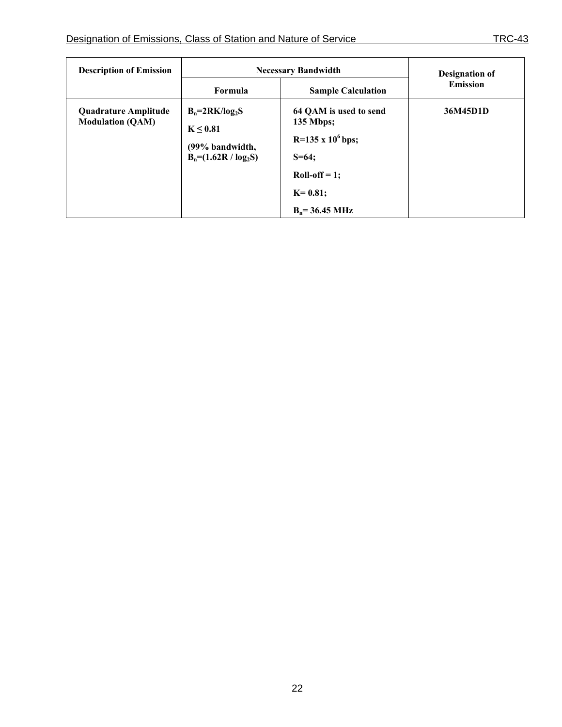| <b>Description of Emission</b>                         | <b>Necessary Bandwidth</b>                                                    |                                                                                                                                                  | Designation of  |
|--------------------------------------------------------|-------------------------------------------------------------------------------|--------------------------------------------------------------------------------------------------------------------------------------------------|-----------------|
|                                                        | Formula                                                                       | <b>Sample Calculation</b>                                                                                                                        | <b>Emission</b> |
| <b>Quadrature Amplitude</b><br><b>Modulation (QAM)</b> | $B_n = 2RK/log_2S$<br>K < 0.81<br>(99% bandwidth,<br>$B_n = (1.62R / log_2S)$ | 64 OAM is used to send<br>$135$ Mbps;<br>$R=135$ x 10 <sup>6</sup> bps;<br>$S = 64$<br>$Roll-off = 1;$<br>$K=0.81;$<br>$B_n = 36.45 \text{ MHz}$ | 36M45D1D        |